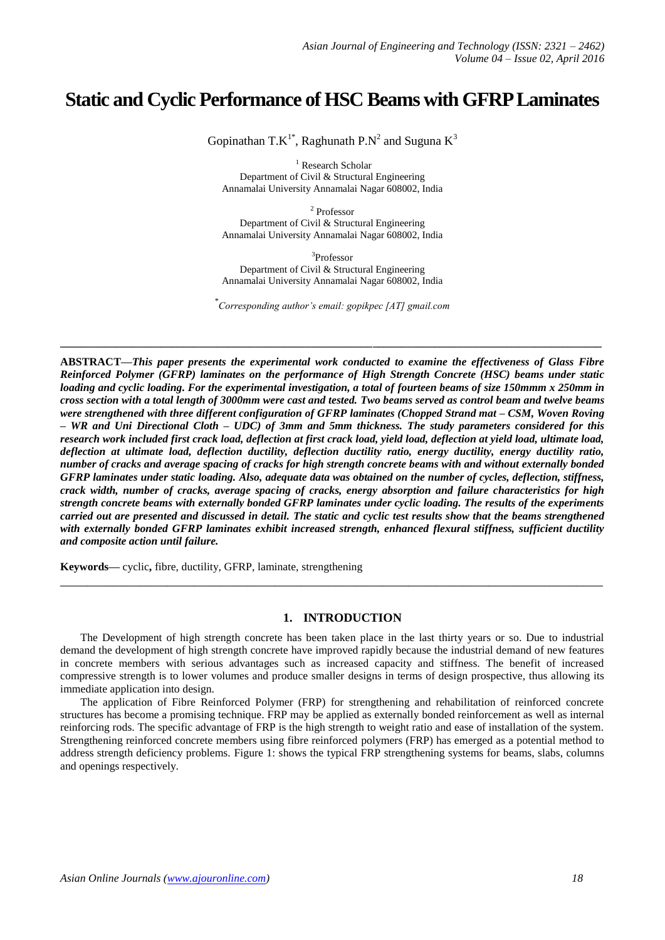# **Static and Cyclic Performance of HSC Beams with GFRP Laminates**

Gopinathan T.K<sup>1\*</sup>, Raghunath P.N<sup>2</sup> and Suguna K<sup>3</sup>

<sup>1</sup> Research Scholar Department of Civil & Structural Engineering Annamalai University Annamalai Nagar 608002, India

2 Professor Department of Civil & Structural Engineering Annamalai University Annamalai Nagar 608002, India

3 Professor Department of Civil & Structural Engineering Annamalai University Annamalai Nagar 608002, India

\* *Corresponding author's email: gopikpec [AT] gmail.com*

**\_\_\_\_\_\_\_\_\_\_\_\_\_\_\_\_\_\_\_\_\_\_\_\_\_\_\_\_\_\_\_\_\_\_\_\_\_\_\_\_\_\_\_\_\_\_\_\_\_\_\_\_\_\_\_\_\_\_\_\_\_\_\_\_\_\_\_\_\_\_\_\_\_\_\_\_\_\_\_\_\_\_\_\_\_\_\_\_\_\_\_\_\_\_\_\_\_**

**ABSTRACT—***This paper presents the experimental work conducted to examine the effectiveness of Glass Fibre Reinforced Polymer (GFRP) laminates on the performance of High Strength Concrete (HSC) beams under static loading and cyclic loading. For the experimental investigation, a total of fourteen beams of size 150mmm x 250mm in cross section with a total length of 3000mm were cast and tested. Two beams served as control beam and twelve beams were strengthened with three different configuration of GFRP laminates (Chopped Strand mat – CSM, Woven Roving – WR and Uni Directional Cloth – UDC) of 3mm and 5mm thickness. The study parameters considered for this research work included first crack load, deflection at first crack load, yield load, deflection at yield load, ultimate load, deflection at ultimate load, deflection ductility, deflection ductility ratio, energy ductility, energy ductility ratio, number of cracks and average spacing of cracks for high strength concrete beams with and without externally bonded GFRP laminates under static loading. Also, adequate data was obtained on the number of cycles, deflection, stiffness, crack width, number of cracks, average spacing of cracks, energy absorption and failure characteristics for high strength concrete beams with externally bonded GFRP laminates under cyclic loading. The results of the experiments carried out are presented and discussed in detail. The static and cyclic test results show that the beams strengthened with externally bonded GFRP laminates exhibit increased strength, enhanced flexural stiffness, sufficient ductility and composite action until failure.*

**Keywords—** cyclic**,** fibre, ductility, GFRP, laminate, strengthening

### **1. INTRODUCTION**

**\_\_\_\_\_\_\_\_\_\_\_\_\_\_\_\_\_\_\_\_\_\_\_\_\_\_\_\_\_\_\_\_\_\_\_\_\_\_\_\_\_\_\_\_\_\_\_\_\_\_\_\_\_\_\_\_\_\_\_\_\_\_\_\_\_\_\_\_\_\_\_\_\_\_\_\_\_\_\_\_\_**

The Development of high strength concrete has been taken place in the last thirty years or so. Due to industrial demand the development of high strength concrete have improved rapidly because the industrial demand of new features in concrete members with serious advantages such as increased capacity and stiffness. The benefit of increased compressive strength is to lower volumes and produce smaller designs in terms of design prospective, thus allowing its immediate application into design.

The application of Fibre Reinforced Polymer (FRP) for strengthening and rehabilitation of reinforced concrete structures has become a promising technique. FRP may be applied as externally bonded reinforcement as well as internal reinforcing rods. The specific advantage of FRP is the high strength to weight ratio and ease of installation of the system. Strengthening reinforced concrete members using fibre reinforced polymers (FRP) has emerged as a potential method to address strength deficiency problems. Figure 1: shows the typical FRP strengthening systems for beams, slabs, columns and openings respectively.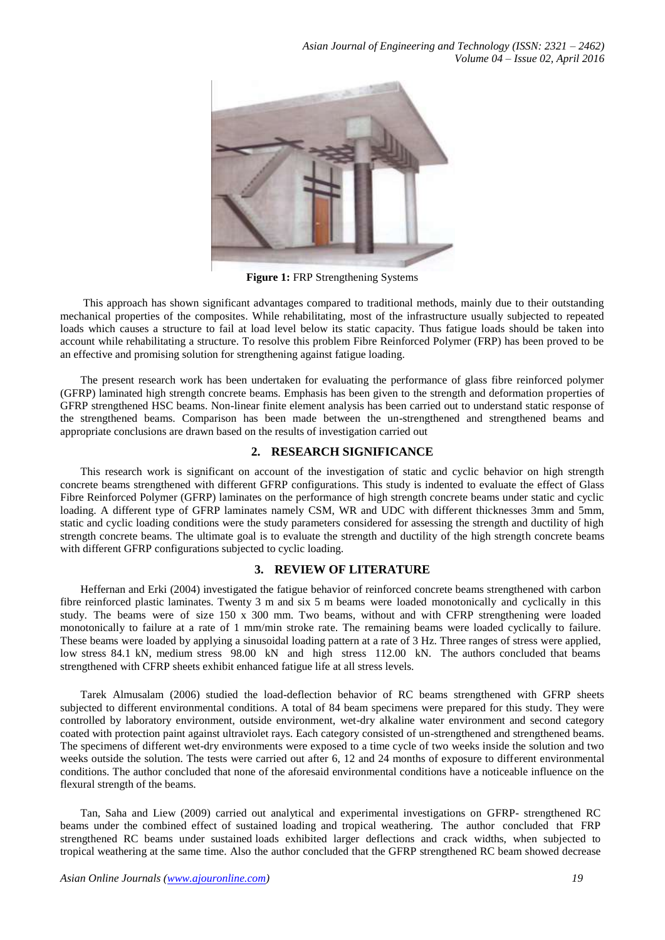

**Figure 1:** FRP Strengthening Systems

This approach has shown significant advantages compared to traditional methods, mainly due to their outstanding mechanical properties of the composites. While rehabilitating, most of the infrastructure usually subjected to repeated loads which causes a structure to fail at load level below its static capacity. Thus fatigue loads should be taken into account while rehabilitating a structure. To resolve this problem Fibre Reinforced Polymer (FRP) has been proved to be an effective and promising solution for strengthening against fatigue loading.

The present research work has been undertaken for evaluating the performance of glass fibre reinforced polymer (GFRP) laminated high strength concrete beams. Emphasis has been given to the strength and deformation properties of GFRP strengthened HSC beams. Non-linear finite element analysis has been carried out to understand static response of the strengthened beams. Comparison has been made between the un-strengthened and strengthened beams and appropriate conclusions are drawn based on the results of investigation carried out

# **2. RESEARCH SIGNIFICANCE**

This research work is significant on account of the investigation of static and cyclic behavior on high strength concrete beams strengthened with different GFRP configurations. This study is indented to evaluate the effect of Glass Fibre Reinforced Polymer (GFRP) laminates on the performance of high strength concrete beams under static and cyclic loading. A different type of GFRP laminates namely CSM, WR and UDC with different thicknesses 3mm and 5mm, static and cyclic loading conditions were the study parameters considered for assessing the strength and ductility of high strength concrete beams. The ultimate goal is to evaluate the strength and ductility of the high strength concrete beams with different GFRP configurations subjected to cyclic loading.

# **3. REVIEW OF LITERATURE**

Heffernan and Erki (2004) investigated the fatigue behavior of reinforced concrete beams strengthened with carbon fibre reinforced plastic laminates. Twenty 3 m and six 5 m beams were loaded monotonically and cyclically in this study. The beams were of size 150 x 300 mm. Two beams, without and with CFRP strengthening were loaded monotonically to failure at a rate of 1 mm/min stroke rate. The remaining beams were loaded cyclically to failure. These beams were loaded by applying a sinusoidal loading pattern at a rate of 3 Hz. Three ranges of stress were applied, low stress 84.1 kN, medium stress 98.00 kN and high stress 112.00 kN. The authors concluded that beams strengthened with CFRP sheets exhibit enhanced fatigue life at all stress levels.

Tarek Almusalam (2006) studied the load-deflection behavior of RC beams strengthened with GFRP sheets subjected to different environmental conditions. A total of 84 beam specimens were prepared for this study. They were controlled by laboratory environment, outside environment, wet-dry alkaline water environment and second category coated with protection paint against ultraviolet rays. Each category consisted of un-strengthened and strengthened beams. The specimens of different wet-dry environments were exposed to a time cycle of two weeks inside the solution and two weeks outside the solution. The tests were carried out after 6, 12 and 24 months of exposure to different environmental conditions. The author concluded that none of the aforesaid environmental conditions have a noticeable influence on the flexural strength of the beams.

Tan, Saha and Liew (2009) carried out analytical and experimental investigations on GFRP- strengthened RC beams under the combined effect of sustained loading and tropical weathering. The author concluded that FRP strengthened RC beams under sustained loads exhibited larger deflections and crack widths, when subjected to tropical weathering at the same time. Also the author concluded that the GFRP strengthened RC beam showed decrease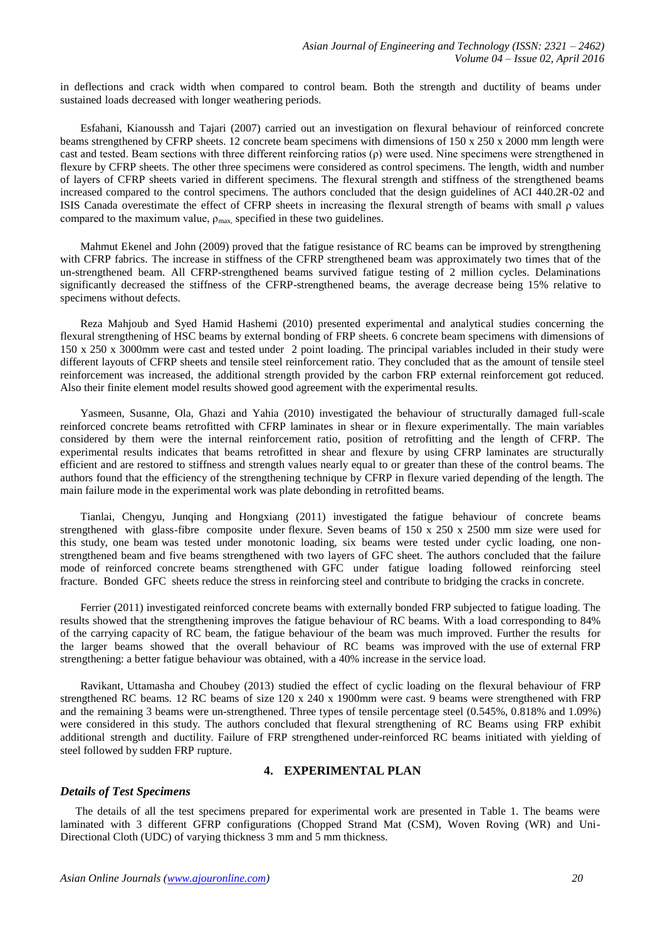in deflections and crack width when compared to control beam. Both the strength and ductility of beams under sustained loads decreased with longer weathering periods.

Esfahani, Kianoussh and Tajari (2007) carried out an investigation on flexural behaviour of reinforced concrete beams strengthened by CFRP sheets. 12 concrete beam specimens with dimensions of 150 x 250 x 2000 mm length were cast and tested. Beam sections with three different reinforcing ratios (ρ) were used. Nine specimens were strengthened in flexure by CFRP sheets. The other three specimens were considered as control specimens. The length, width and number of layers of CFRP sheets varied in different specimens. The flexural strength and stiffness of the strengthened beams increased compared to the control specimens. The authors concluded that the design guidelines of ACI 440.2R-02 and ISIS Canada overestimate the effect of CFRP sheets in increasing the flexural strength of beams with small ρ values compared to the maximum value,  $\rho_{\text{max}}$ , specified in these two guidelines.

Mahmut Ekenel and John (2009) proved that the fatigue resistance of RC beams can be improved by strengthening with CFRP fabrics. The increase in stiffness of the CFRP strengthened beam was approximately two times that of the un-strengthened beam. All CFRP-strengthened beams survived fatigue testing of 2 million cycles. Delaminations significantly decreased the stiffness of the CFRP-strengthened beams, the average decrease being 15% relative to specimens without defects.

Reza Mahjoub and Syed Hamid Hashemi (2010) presented experimental and analytical studies concerning the flexural strengthening of HSC beams by external bonding of FRP sheets. 6 concrete beam specimens with dimensions of 150 x 250 x 3000mm were cast and tested under 2 point loading. The principal variables included in their study were different layouts of CFRP sheets and tensile steel reinforcement ratio. They concluded that as the amount of tensile steel reinforcement was increased, the additional strength provided by the carbon FRP external reinforcement got reduced. Also their finite element model results showed good agreement with the experimental results.

Yasmeen, Susanne, Ola, Ghazi and Yahia (2010) investigated the behaviour of structurally damaged full-scale reinforced concrete beams retrofitted with CFRP laminates in shear or in flexure experimentally. The main variables considered by them were the internal reinforcement ratio, position of retrofitting and the length of CFRP. The experimental results indicates that beams retrofitted in shear and flexure by using CFRP laminates are structurally efficient and are restored to stiffness and strength values nearly equal to or greater than these of the control beams. The authors found that the efficiency of the strengthening technique by CFRP in flexure varied depending of the length. The main failure mode in the experimental work was plate debonding in retrofitted beams.

Tianlai, Chengyu, Junqing and Hongxiang (2011) investigated the fatigue behaviour of concrete beams strengthened with glass-fibre composite under flexure. Seven beams of 150 x 250 x 2500 mm size were used for this study, one beam was tested under monotonic loading, six beams were tested under cyclic loading, one nonstrengthened beam and five beams strengthened with two layers of GFC sheet. The authors concluded that the failure mode of reinforced concrete beams strengthened with GFC under fatigue loading followed reinforcing steel fracture. Bonded GFC sheets reduce the stress in reinforcing steel and contribute to bridging the cracks in concrete.

Ferrier (2011) investigated reinforced concrete beams with externally bonded FRP subjected to fatigue loading. The results showed that the strengthening improves the fatigue behaviour of RC beams. With a load corresponding to 84% of the carrying capacity of RC beam, the fatigue behaviour of the beam was much improved. Further the results for the larger beams showed that the overall behaviour of RC beams was improved with the use of external FRP strengthening: a better fatigue behaviour was obtained, with a 40% increase in the service load.

Ravikant, Uttamasha and Choubey (2013) studied the effect of cyclic loading on the flexural behaviour of FRP strengthened RC beams. 12 RC beams of size 120 x 240 x 1900mm were cast. 9 beams were strengthened with FRP and the remaining 3 beams were un-strengthened. Three types of tensile percentage steel (0.545%, 0.818% and 1.09%) were considered in this study. The authors concluded that flexural strengthening of RC Beams using FRP exhibit additional strength and ductility. Failure of FRP strengthened under-reinforced RC beams initiated with yielding of steel followed by sudden FRP rupture.

### **4. EXPERIMENTAL PLAN**

### *Details of Test Specimens*

The details of all the test specimens prepared for experimental work are presented in Table 1. The beams were laminated with 3 different GFRP configurations (Chopped Strand Mat (CSM), Woven Roving (WR) and Uni-Directional Cloth (UDC) of varying thickness 3 mm and 5 mm thickness.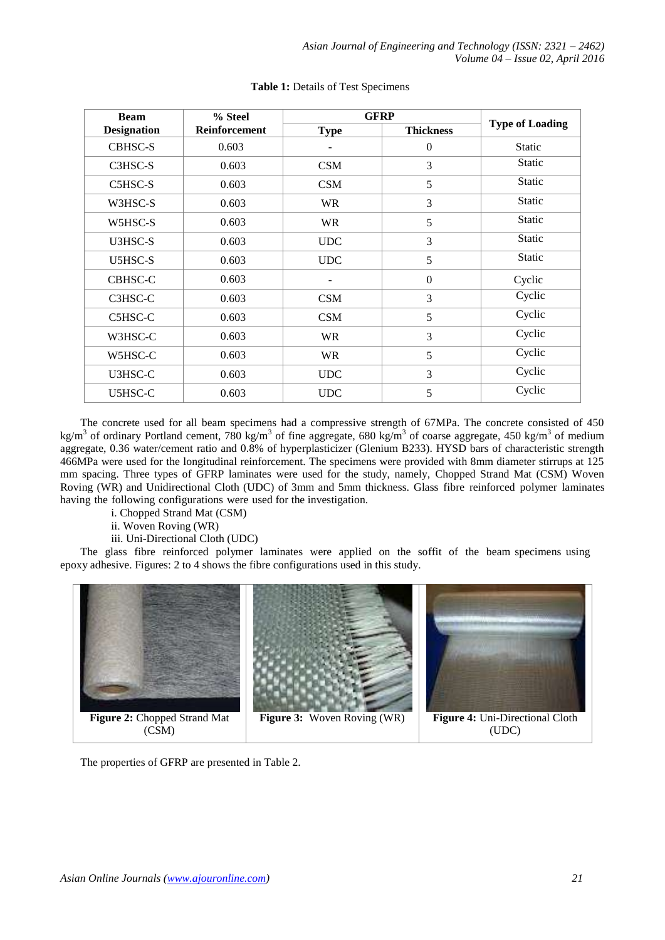| <b>Beam</b>        | % Steel       | <b>GFRP</b> | <b>Type of Loading</b> |               |  |
|--------------------|---------------|-------------|------------------------|---------------|--|
| <b>Designation</b> | Reinforcement | <b>Type</b> | <b>Thickness</b>       |               |  |
| <b>CBHSC-S</b>     | 0.603         |             | $\mathbf{0}$           | <b>Static</b> |  |
| C3HSC-S            | 0.603         | <b>CSM</b>  | 3                      | <b>Static</b> |  |
| C5HSC-S            | 0.603         | <b>CSM</b>  | 5                      | Static        |  |
| W3HSC-S            | 0.603         | <b>WR</b>   | 3                      | <b>Static</b> |  |
| W5HSC-S            | 0.603         | <b>WR</b>   | 5                      | Static        |  |
| U3HSC-S            | 0.603         | <b>UDC</b>  | 3                      | Static        |  |
| <b>U5HSC-S</b>     | 0.603         | <b>UDC</b>  | 5                      | Static        |  |
| CBHSC-C            | 0.603         |             | $\boldsymbol{0}$       | Cyclic        |  |
| C3HSC-C            | 0.603         | <b>CSM</b>  | 3                      | Cyclic        |  |
| C5HSC-C            | 0.603         | <b>CSM</b>  | 5                      | Cyclic        |  |
| W3HSC-C            | 0.603         | <b>WR</b>   | 3                      | Cyclic        |  |
| W5HSC-C            | 0.603         | <b>WR</b>   | 5                      | Cyclic        |  |
| U3HSC-C            | 0.603         | <b>UDC</b>  | 3                      | Cyclic        |  |
| U5HSC-C            | 0.603         | <b>UDC</b>  | 5                      | Cyclic        |  |

### **Table 1:** Details of Test Specimens

The concrete used for all beam specimens had a compressive strength of 67MPa. The concrete consisted of 450 kg/m<sup>3</sup> of ordinary Portland cement, 780 kg/m<sup>3</sup> of fine aggregate, 680 kg/m<sup>3</sup> of coarse aggregate, 450 kg/m<sup>3</sup> of medium aggregate, 0.36 water/cement ratio and 0.8% of hyperplasticizer (Glenium B233). HYSD bars of characteristic strength 466MPa were used for the longitudinal reinforcement. The specimens were provided with 8mm diameter stirrups at 125 mm spacing. Three types of GFRP laminates were used for the study, namely, Chopped Strand Mat (CSM) Woven Roving (WR) and Unidirectional Cloth (UDC) of 3mm and 5mm thickness. Glass fibre reinforced polymer laminates having the following configurations were used for the investigation.

i. Chopped Strand Mat (CSM)

ii. Woven Roving (WR)

iii. Uni-Directional Cloth (UDC)

The glass fibre reinforced polymer laminates were applied on the soffit of the beam specimens using epoxy adhesive. Figures: 2 to 4 shows the fibre configurations used in this study.



The properties of GFRP are presented in Table 2.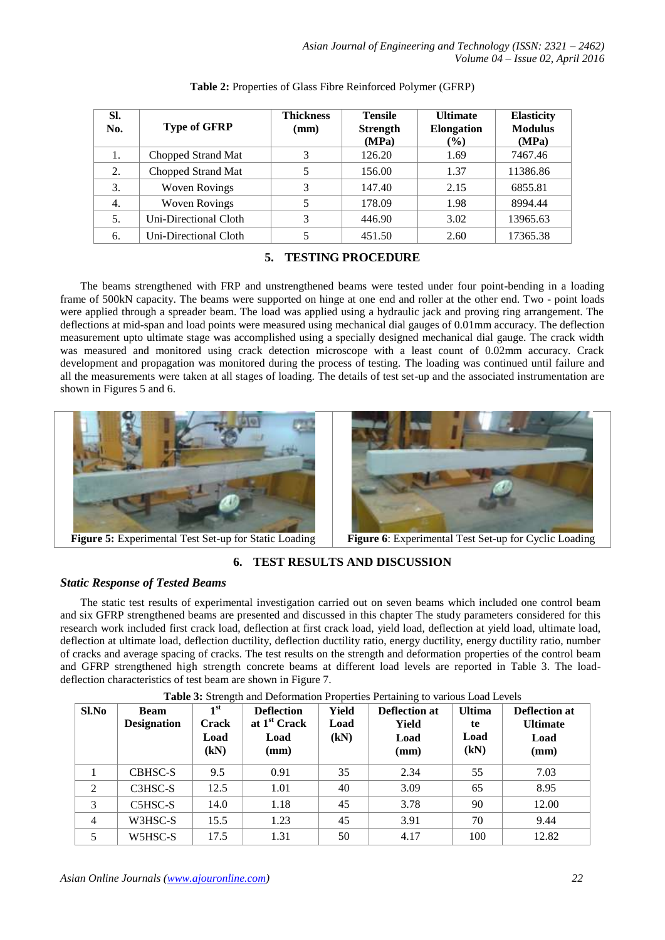| SI.<br>No. | <b>Type of GFRP</b>   | <b>Thickness</b><br>(mm) | <b>Tensile</b><br><b>Strength</b><br>(MPa) | <b>Ultimate</b><br><b>Elongation</b><br>$($ %) | <b>Elasticity</b><br><b>Modulus</b><br>(MPa) |
|------------|-----------------------|--------------------------|--------------------------------------------|------------------------------------------------|----------------------------------------------|
| 1.         | Chopped Strand Mat    |                          | 126.20                                     | 1.69                                           | 7467.46                                      |
| 2.         | Chopped Strand Mat    |                          | 156.00                                     | 1.37                                           | 11386.86                                     |
| 3.         | <b>Woven Rovings</b>  |                          | 147.40                                     | 2.15                                           | 6855.81                                      |
| 4.         | <b>Woven Rovings</b>  |                          | 178.09                                     | 1.98                                           | 8994.44                                      |
| 5.         | Uni-Directional Cloth | 3                        | 446.90                                     | 3.02                                           | 13965.63                                     |
| 6.         | Uni-Directional Cloth |                          | 451.50                                     | 2.60                                           | 17365.38                                     |

### **Table 2:** Properties of Glass Fibre Reinforced Polymer (GFRP)

# **5. TESTING PROCEDURE**

The beams strengthened with FRP and unstrengthened beams were tested under four point-bending in a loading frame of 500kN capacity. The beams were supported on hinge at one end and roller at the other end. Two - point loads were applied through a spreader beam. The load was applied using a hydraulic jack and proving ring arrangement. The deflections at mid-span and load points were measured using mechanical dial gauges of 0.01mm accuracy. The deflection measurement upto ultimate stage was accomplished using a specially designed mechanical dial gauge. The crack width was measured and monitored using crack detection microscope with a least count of 0.02mm accuracy. Crack development and propagation was monitored during the process of testing. The loading was continued until failure and all the measurements were taken at all stages of loading. The details of test set-up and the associated instrumentation are shown in Figures 5 and 6.





**Figure 5:** Experimental Test Set-up for Static Loading **Figure 6**: Experimental Test Set-up for Cyclic Loading

# **6. TEST RESULTS AND DISCUSSION**

# *Static Response of Tested Beams*

The static test results of experimental investigation carried out on seven beams which included one control beam and six GFRP strengthened beams are presented and discussed in this chapter The study parameters considered for this research work included first crack load, deflection at first crack load, yield load, deflection at yield load, ultimate load, deflection at ultimate load, deflection ductility, deflection ductility ratio, energy ductility, energy ductility ratio, number of cracks and average spacing of cracks. The test results on the strength and deformation properties of the control beam and GFRP strengthened high strength concrete beams at different load levels are reported in Table 3. The loaddeflection characteristics of test beam are shown in Figure 7.

| Sl.No          | <b>Beam</b><br><b>Designation</b>             | 1 <sup>st</sup><br><b>Crack</b><br>Load<br>(kN) | <b>Deflection</b><br>at 1 <sup>st</sup> Crack<br>Load<br>(mm) | Yield<br>Load<br>(kN) | Deflection at<br>Yield<br>Load<br>(mm) | <b>Ultima</b><br>te<br>Load<br>(kN) | <b>Deflection at</b><br><b>Ultimate</b><br>Load<br>(mm) |
|----------------|-----------------------------------------------|-------------------------------------------------|---------------------------------------------------------------|-----------------------|----------------------------------------|-------------------------------------|---------------------------------------------------------|
|                | CBHSC-S                                       | 9.5                                             | 0.91                                                          | 35                    | 2.34                                   | 55                                  | 7.03                                                    |
| $\overline{2}$ | C3HSC-S                                       | 12.5                                            | 1.01                                                          | 40                    | 3.09                                   | 65                                  | 8.95                                                    |
| 3              | C <sub>5</sub> H <sub>S</sub> C <sub>-S</sub> | 14.0                                            | 1.18                                                          | 45                    | 3.78                                   | 90                                  | 12.00                                                   |
| 4              | W3HSC-S                                       | 15.5                                            | 1.23                                                          | 45                    | 3.91                                   | 70                                  | 9.44                                                    |
| 5              | W5HSC-S                                       | 17.5                                            | 1.31                                                          | 50                    | 4.17                                   | 100                                 | 12.82                                                   |

**Table 3:** Strength and Deformation Properties Pertaining to various Load Levels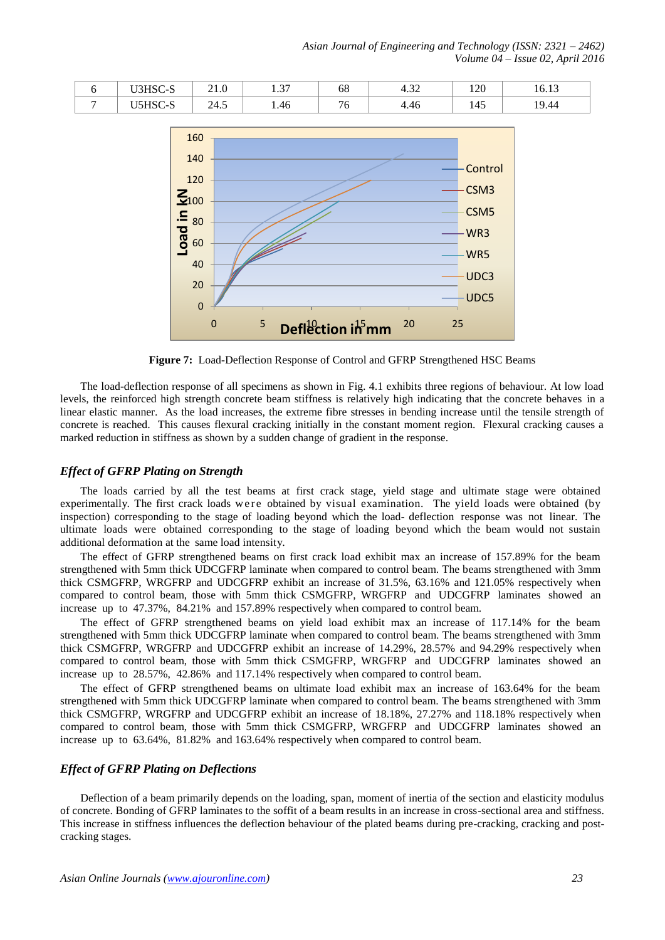*Asian Journal of Engineering and Technology (ISSN: 2321 – 2462) Volume 04 – Issue 02, April 2016*

|   | $\sim$ 1.0 | $\sim$<br>. . <i>. .</i> | υo  | $\sim$<br>$\cdot$ . $\cdot$ $\cdot$ $\cdot$ $\cdot$ | חר ו<br>1 / U          | 10.1J |
|---|------------|--------------------------|-----|-----------------------------------------------------|------------------------|-------|
| ີ | 4<br>∠−⊤.  | 1.46                     | . . | 7.4V                                                | 14 <sup>r</sup><br>14J | 44.   |



**Figure 7:** Load-Deflection Response of Control and GFRP Strengthened HSC Beams

The load-deflection response of all specimens as shown in Fig. 4.1 exhibits three regions of behaviour. At low load levels, the reinforced high strength concrete beam stiffness is relatively high indicating that the concrete behaves in a linear elastic manner. As the load increases, the extreme fibre stresses in bending increase until the tensile strength of concrete is reached. This causes flexural cracking initially in the constant moment region. Flexural cracking causes a marked reduction in stiffness as shown by a sudden change of gradient in the response.

### *Effect of GFRP Plating on Strength*

The loads carried by all the test beams at first crack stage, yield stage and ultimate stage were obtained experimentally. The first crack loads we re obtained by visual examination. The yield loads were obtained (by inspection) corresponding to the stage of loading beyond which the load- deflection response was not linear. The ultimate loads were obtained corresponding to the stage of loading beyond which the beam would not sustain additional deformation at the same load intensity.

The effect of GFRP strengthened beams on first crack load exhibit max an increase of 157.89% for the beam strengthened with 5mm thick UDCGFRP laminate when compared to control beam. The beams strengthened with 3mm thick CSMGFRP, WRGFRP and UDCGFRP exhibit an increase of 31.5%, 63.16% and 121.05% respectively when compared to control beam, those with 5mm thick CSMGFRP, WRGFRP and UDCGFRP laminates showed an increase up to 47.37%, 84.21% and 157.89% respectively when compared to control beam.

The effect of GFRP strengthened beams on yield load exhibit max an increase of 117.14% for the beam strengthened with 5mm thick UDCGFRP laminate when compared to control beam. The beams strengthened with 3mm thick CSMGFRP, WRGFRP and UDCGFRP exhibit an increase of 14.29%, 28.57% and 94.29% respectively when compared to control beam, those with 5mm thick CSMGFRP, WRGFRP and UDCGFRP laminates showed an increase up to 28.57%, 42.86% and 117.14% respectively when compared to control beam.

The effect of GFRP strengthened beams on ultimate load exhibit max an increase of 163.64% for the beam strengthened with 5mm thick UDCGFRP laminate when compared to control beam. The beams strengthened with 3mm thick CSMGFRP, WRGFRP and UDCGFRP exhibit an increase of 18.18%, 27.27% and 118.18% respectively when compared to control beam, those with 5mm thick CSMGFRP, WRGFRP and UDCGFRP laminates showed an increase up to 63.64%, 81.82% and 163.64% respectively when compared to control beam.

### *Effect of GFRP Plating on Deflections*

Deflection of a beam primarily depends on the loading, span, moment of inertia of the section and elasticity modulus of concrete. Bonding of GFRP laminates to the soffit of a beam results in an increase in cross-sectional area and stiffness. This increase in stiffness influences the deflection behaviour of the plated beams during pre-cracking, cracking and postcracking stages.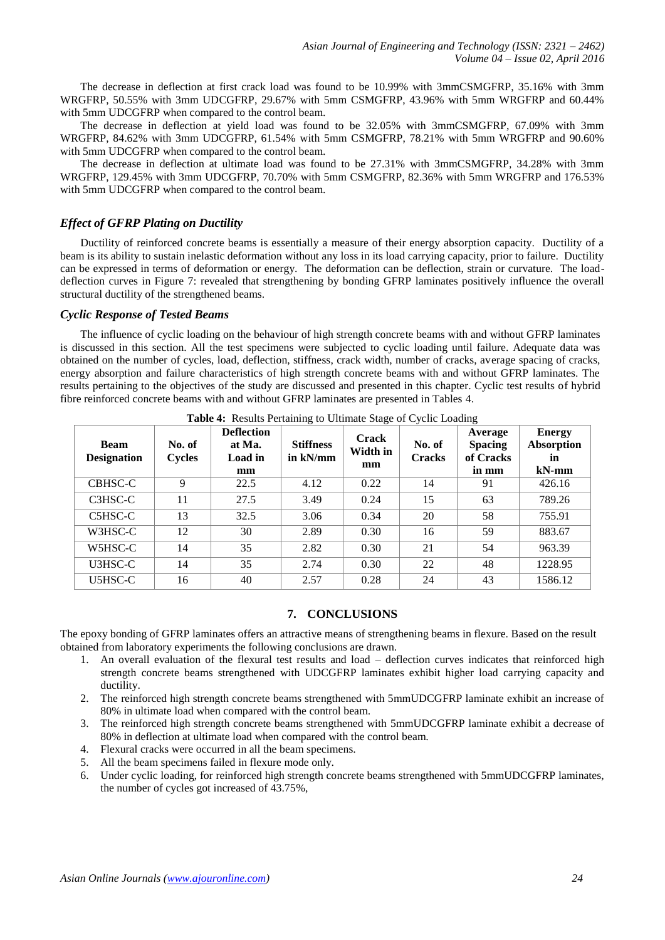The decrease in deflection at first crack load was found to be 10.99% with 3mmCSMGFRP, 35.16% with 3mm WRGFRP, 50.55% with 3mm UDCGFRP, 29.67% with 5mm CSMGFRP, 43.96% with 5mm WRGFRP and 60.44% with 5mm UDCGFRP when compared to the control beam.

The decrease in deflection at yield load was found to be 32.05% with 3mmCSMGFRP, 67.09% with 3mm WRGFRP, 84.62% with 3mm UDCGFRP, 61.54% with 5mm CSMGFRP, 78.21% with 5mm WRGFRP and 90.60% with 5mm UDCGFRP when compared to the control beam.

The decrease in deflection at ultimate load was found to be 27.31% with 3mmCSMGFRP, 34.28% with 3mm WRGFRP, 129.45% with 3mm UDCGFRP, 70.70% with 5mm CSMGFRP, 82.36% with 5mm WRGFRP and 176.53% with 5mm UDCGFRP when compared to the control beam.

# *Effect of GFRP Plating on Ductility*

Ductility of reinforced concrete beams is essentially a measure of their energy absorption capacity. Ductility of a beam is its ability to sustain inelastic deformation without any loss in its load carrying capacity, prior to failure. Ductility can be expressed in terms of deformation or energy. The deformation can be deflection, strain or curvature. The loaddeflection curves in Figure 7: revealed that strengthening by bonding GFRP laminates positively influence the overall structural ductility of the strengthened beams.

### *Cyclic Response of Tested Beams*

The influence of cyclic loading on the behaviour of high strength concrete beams with and without GFRP laminates is discussed in this section. All the test specimens were subjected to cyclic loading until failure. Adequate data was obtained on the number of cycles, load, deflection, stiffness, crack width, number of cracks, average spacing of cracks, energy absorption and failure characteristics of high strength concrete beams with and without GFRP laminates. The results pertaining to the objectives of the study are discussed and presented in this chapter. Cyclic test results of hybrid fibre reinforced concrete beams with and without GFRP laminates are presented in Tables 4.

| <b>Beam</b><br><b>Designation</b> | No. of<br><b>Cycles</b> | <b>Deflection</b><br>at Ma.<br>Load in<br>mm | <b>Stiffness</b><br>in kN/mm | <b>Crack</b><br>Width in<br>mm | No. of<br><b>Cracks</b> | Average<br><b>Spacing</b><br>of Cracks<br>in mm | <b>Energy</b><br><b>Absorption</b><br>in<br>$kN-mm$ |
|-----------------------------------|-------------------------|----------------------------------------------|------------------------------|--------------------------------|-------------------------|-------------------------------------------------|-----------------------------------------------------|
| CBHSC-C                           | 9                       | 22.5                                         | 4.12                         | 0.22                           | 14                      | 91                                              | 426.16                                              |
| C3HSC-C                           | 11                      | 27.5                                         | 3.49                         | 0.24                           | 15                      | 63                                              | 789.26                                              |
| C5HSC-C                           | 13                      | 32.5                                         | 3.06                         | 0.34                           | 20                      | 58                                              | 755.91                                              |
| W3HSC-C                           | 12                      | 30                                           | 2.89                         | 0.30                           | 16                      | 59                                              | 883.67                                              |
| W5HSC-C                           | 14                      | 35                                           | 2.82                         | 0.30                           | 21                      | 54                                              | 963.39                                              |
| U3HSC-C                           | 14                      | 35                                           | 2.74                         | 0.30                           | 22                      | 48                                              | 1228.95                                             |
| U5HSC-C                           | 16                      | 40                                           | 2.57                         | 0.28                           | 24                      | 43                                              | 1586.12                                             |

**Table 4:** Results Pertaining to Ultimate Stage of Cyclic Loading

### **7. CONCLUSIONS**

The epoxy bonding of GFRP laminates offers an attractive means of strengthening beams in flexure. Based on the result obtained from laboratory experiments the following conclusions are drawn.

- 1. An overall evaluation of the flexural test results and load deflection curves indicates that reinforced high strength concrete beams strengthened with UDCGFRP laminates exhibit higher load carrying capacity and ductility.
- 2. The reinforced high strength concrete beams strengthened with 5mmUDCGFRP laminate exhibit an increase of 80% in ultimate load when compared with the control beam.
- 3. The reinforced high strength concrete beams strengthened with 5mmUDCGFRP laminate exhibit a decrease of 80% in deflection at ultimate load when compared with the control beam.
- 4. Flexural cracks were occurred in all the beam specimens.
- 5. All the beam specimens failed in flexure mode only.
- 6. Under cyclic loading, for reinforced high strength concrete beams strengthened with 5mmUDCGFRP laminates, the number of cycles got increased of 43.75%,